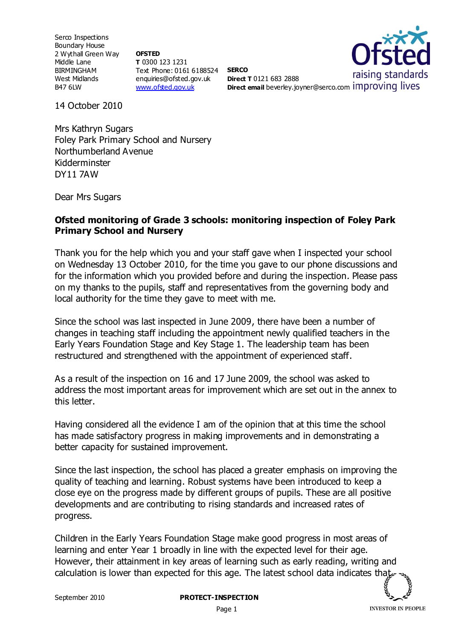Serco Inspections Boundary House 2 Wythall Green Way Middle Lane BIRMINGHAM West Midlands B47 6LW

**OFSTED T** 0300 123 1231 Text Phone: 0161 6188524 **SERCO** enquiries@ofsted.gov.uk [www.ofsted.gov.uk](http://www.ofsted.gov.uk/)



**Direct T** 0121 683 2888 **Direct email** beverley.joyner@serco.com improving lives

14 October 2010

Mrs Kathryn Sugars Foley Park Primary School and Nursery Northumberland Avenue Kidderminster DY11 7AW

Dear Mrs Sugars

## **Ofsted monitoring of Grade 3 schools: monitoring inspection of Foley Park Primary School and Nursery**

Thank you for the help which you and your staff gave when I inspected your school on Wednesday 13 October 2010, for the time you gave to our phone discussions and for the information which you provided before and during the inspection. Please pass on my thanks to the pupils, staff and representatives from the governing body and local authority for the time they gave to meet with me.

Since the school was last inspected in June 2009, there have been a number of changes in teaching staff including the appointment newly qualified teachers in the Early Years Foundation Stage and Key Stage 1. The leadership team has been restructured and strengthened with the appointment of experienced staff.

As a result of the inspection on 16 and 17 June 2009, the school was asked to address the most important areas for improvement which are set out in the annex to this letter.

Having considered all the evidence I am of the opinion that at this time the school has made satisfactory progress in making improvements and in demonstrating a better capacity for sustained improvement.

Since the last inspection, the school has placed a greater emphasis on improving the quality of teaching and learning. Robust systems have been introduced to keep a close eye on the progress made by different groups of pupils. These are all positive developments and are contributing to rising standards and increased rates of progress.

Children in the Early Years Foundation Stage make good progress in most areas of learning and enter Year 1 broadly in line with the expected level for their age. However, their attainment in key areas of learning such as early reading, writing and calculation is lower than expected for this age. The latest school data indicates that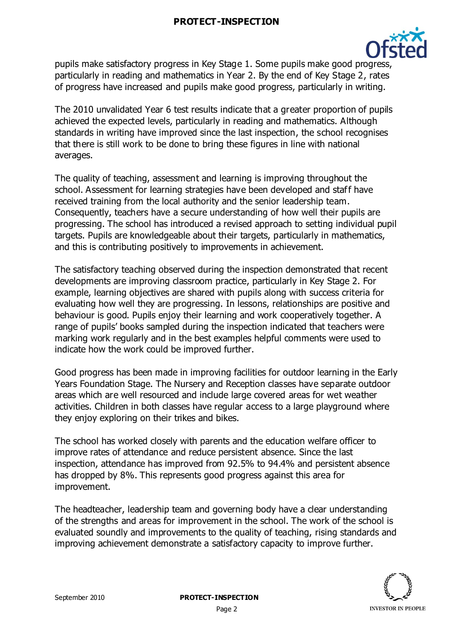

pupils make satisfactory progress in Key Stage 1. Some pupils make good progress, particularly in reading and mathematics in Year 2. By the end of Key Stage 2, rates of progress have increased and pupils make good progress, particularly in writing.

The 2010 unvalidated Year 6 test results indicate that a greater proportion of pupils achieved the expected levels, particularly in reading and mathematics. Although standards in writing have improved since the last inspection, the school recognises that there is still work to be done to bring these figures in line with national averages.

The quality of teaching, assessment and learning is improving throughout the school. Assessment for learning strategies have been developed and staff have received training from the local authority and the senior leadership team. Consequently, teachers have a secure understanding of how well their pupils are progressing. The school has introduced a revised approach to setting individual pupil targets. Pupils are knowledgeable about their targets, particularly in mathematics, and this is contributing positively to improvements in achievement.

The satisfactory teaching observed during the inspection demonstrated that recent developments are improving classroom practice, particularly in Key Stage 2. For example, learning objectives are shared with pupils along with success criteria for evaluating how well they are progressing. In lessons, relationships are positive and behaviour is good. Pupils enjoy their learning and work cooperatively together. A range of pupils' books sampled during the inspection indicated that teachers were marking work regularly and in the best examples helpful comments were used to indicate how the work could be improved further.

Good progress has been made in improving facilities for outdoor learning in the Early Years Foundation Stage. The Nursery and Reception classes have separate outdoor areas which are well resourced and include large covered areas for wet weather activities. Children in both classes have regular access to a large playground where they enjoy exploring on their trikes and bikes.

The school has worked closely with parents and the education welfare officer to improve rates of attendance and reduce persistent absence. Since the last inspection, attendance has improved from 92.5% to 94.4% and persistent absence has dropped by 8%. This represents good progress against this area for improvement.

The headteacher, leadership team and governing body have a clear understanding of the strengths and areas for improvement in the school. The work of the school is evaluated soundly and improvements to the quality of teaching, rising standards and improving achievement demonstrate a satisfactory capacity to improve further.

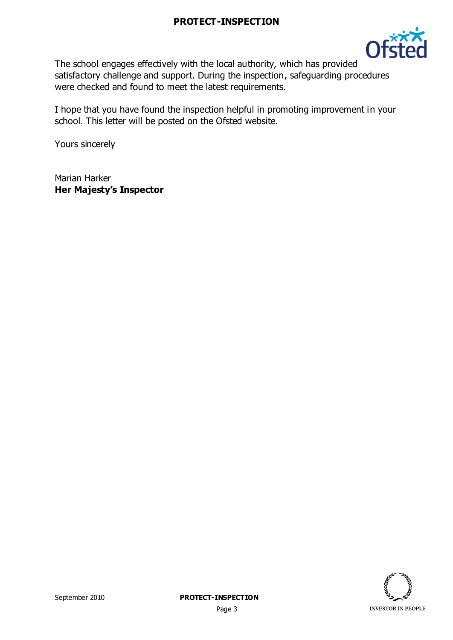

The school engages effectively with the local authority, which has provided satisfactory challenge and support. During the inspection, safeguarding procedures were checked and found to meet the latest requirements.

I hope that you have found the inspection helpful in promoting improvement in your school. This letter will be posted on the Ofsted website.

Yours sincerely

Marian Harker **Her Majesty's Inspector**